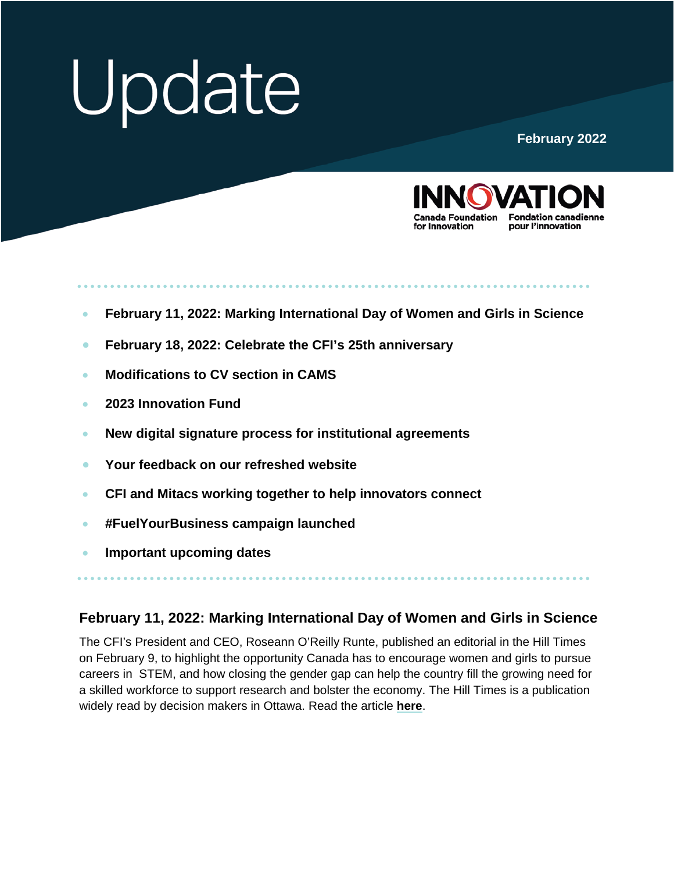# Update

#### **February 2022**



- **[February 11, 2022: Marking International Day of Women and Girls in Science](#page-1-0)**
- **[February 18, 2022: Celebrate the CFI's 25th](#page-1-0) anniversary**
- **[Modifications to CV section in CAMS](#page-1-0)**
- **[2023 Innovation Fund](#page-2-0)**
- **[New digital signature process for institutional agreements](#page-2-0)**
- **Your feedback on [our refreshed website](#page-2-0)**
- **[CFI and Mitacs working together to help innovators connect](#page-2-0)**
- **[#FuelYourBusiness](#page-3-0) campaign launched**
- **[Important upcoming dates](#page-3-0)**

#### **February 11, 2022: Marking International Day of Women and Girls in Science**

The CFI's President and CEO, Roseann O'Reilly Runte, published an editorial in the Hill Times on February 9, to highlight the opportunity Canada has to encourage women and girls to pursue careers in STEM, and how closing the gender gap can help the country fill the growing need for a skilled workforce to support research and bolster the economy. The Hill Times is a publication widely read by decision makers in Ottawa. Read the article **[here](https://www.innovation.ca/news/facing-labour-shortages-canada-needs-mobilize-all-its-talent)**.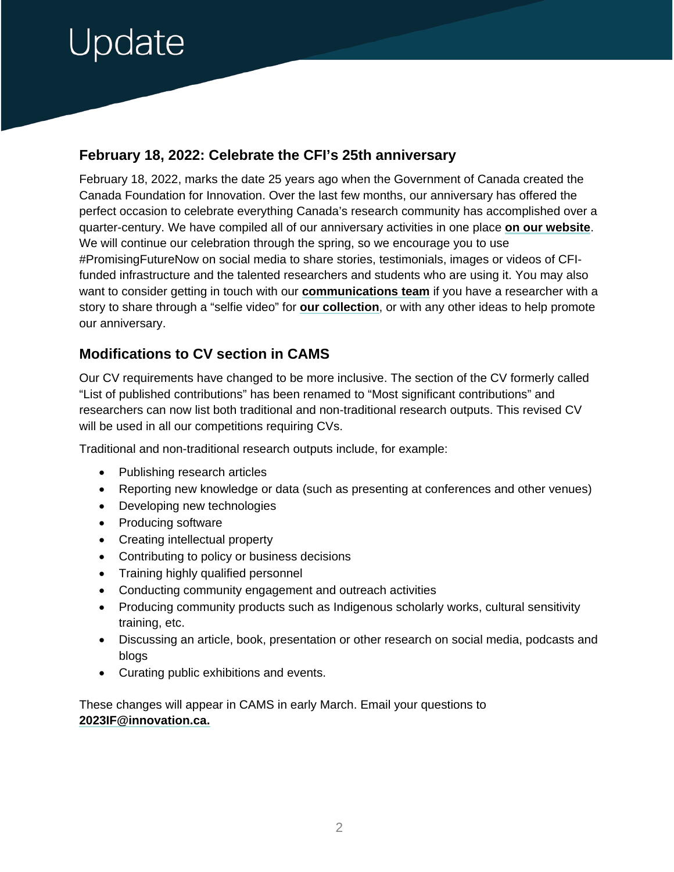### <span id="page-1-0"></span>Jpdate

### **February 18, 2022: Celebrate the CFI's 25th anniversary**

February 18, 2022, marks the date 25 years ago when the Government of Canada created the Canada Foundation for Innovation. Over the last few months, our anniversary has offered the perfect occasion to celebrate everything Canada's research community has accomplished over a quarter-century. We have compiled all of our anniversary activities in one place **[on our website](https://www.innovation.ca/celebrate-with-us)**. We will continue our celebration through the spring, so we encourage you to use #PromisingFutureNow on social media to share stories, testimonials, images or videos of CFIfunded infrastructure and the talented researchers and students who are using it. You may also want to consider getting in touch with our **[communications team](mailto:elizabeth.shilts@innovation.ca)** if you have a researcher with a story to share through a "selfie video" for **[our collection](https://www.youtube.com/playlist?list=PLy_LO21HROEAVg9StfNBIMQkcJHCKdsTS)**, or with any other ideas to help promote our anniversary.

### **Modifications to CV section in CAMS**

Our CV requirements have changed to be more inclusive. The section of the CV formerly called "List of published contributions" has been renamed to "Most significant contributions" and researchers can now list both traditional and non-traditional research outputs. This revised CV will be used in all our competitions requiring CVs.

Traditional and non-traditional research outputs include, for example:

- Publishing research articles
- Reporting new knowledge or data (such as presenting at conferences and other venues)
- Developing new technologies
- Producing software
- Creating intellectual property
- Contributing to policy or business decisions
- Training highly qualified personnel
- Conducting community engagement and outreach activities
- Producing community products such as Indigenous scholarly works, cultural sensitivity training, etc.
- Discussing an article, book, presentation or other research on social media, podcasts and blogs
- Curating public exhibitions and events.

These changes will appear in CAMS in early March. Email your questions to **[2023IF@innovation.ca.](mailto:2023IF@innovation.ca)**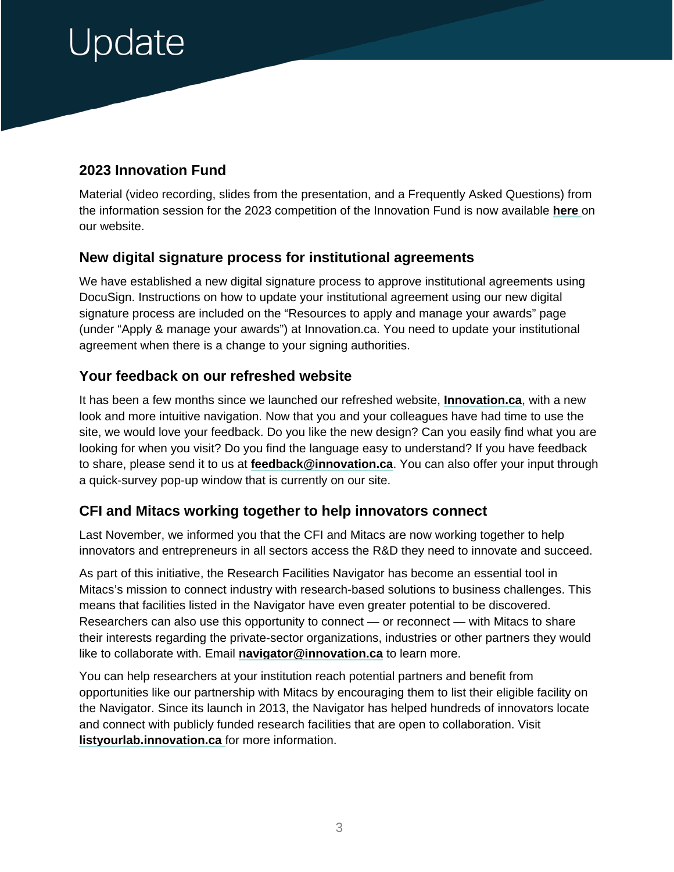## <span id="page-2-0"></span>Update

### **2023 Innovation Fund**

Material (video recording, slides from the presentation, and a Frequently Asked Questions) from the information session for the 2023 competition of the Innovation Fund is now available **[here](https://www.innovation.ca/apply-manage-awards/funding-opportunities/innovation-fund#!nav-apply)** on our website.

#### **New digital signature process for institutional agreements**

We have established a new digital signature process to approve institutional agreements using DocuSign. Instructions on how to update your institutional agreement using our new digital signature process are included on the "Resources to apply and manage your awards" page (under "Apply & manage your awards") at Innovation.ca. You need to update your institutional agreement when there is a change to your signing authorities.

#### **Your feedback on our refreshed website**

It has been a few months since we launched our refreshed website, **[Innovation.ca](https://www.innovation.ca/)**, with a new look and more intuitive navigation. Now that you and your colleagues have had time to use the site, we would love your feedback. Do you like the new design? Can you easily find what you are looking for when you visit? Do you find the language easy to understand? If you have feedback to share, please send it to us at **[feedback@innovation.ca](mailto:feedback@innovation.ca)**. You can also offer your input through a quick-survey pop-up window that is currently on our site.

#### **CFI and Mitacs working together to help innovators connect**

Last November, we informed you that the CFI and Mitacs are now working together to help innovators and entrepreneurs in all sectors access the R&D they need to innovate and succeed.

As part of this initiative, the Research Facilities Navigator has become an essential tool in Mitacs's mission to connect industry with research-based solutions to business challenges. This means that facilities listed in the Navigator have even greater potential to be discovered. Researchers can also use this opportunity to connect — or reconnect — with Mitacs to share their interests regarding the private-sector organizations, industries or other partners they would like to collaborate with. Email **[navigator@innovation.ca](mailto:navigator@innovation.ca)** to learn more.

You can help researchers at your institution reach potential partners and benefit from opportunities like our partnership with Mitacs by encouraging them to list their eligible facility on the Navigator. Since its launch in 2013, the Navigator has helped hundreds of innovators locate and connect with publicly funded research facilities that are open to collaboration. Visit **[listyourlab.innovation.ca](https://listyourlab.innovation.ca/)** for more information.